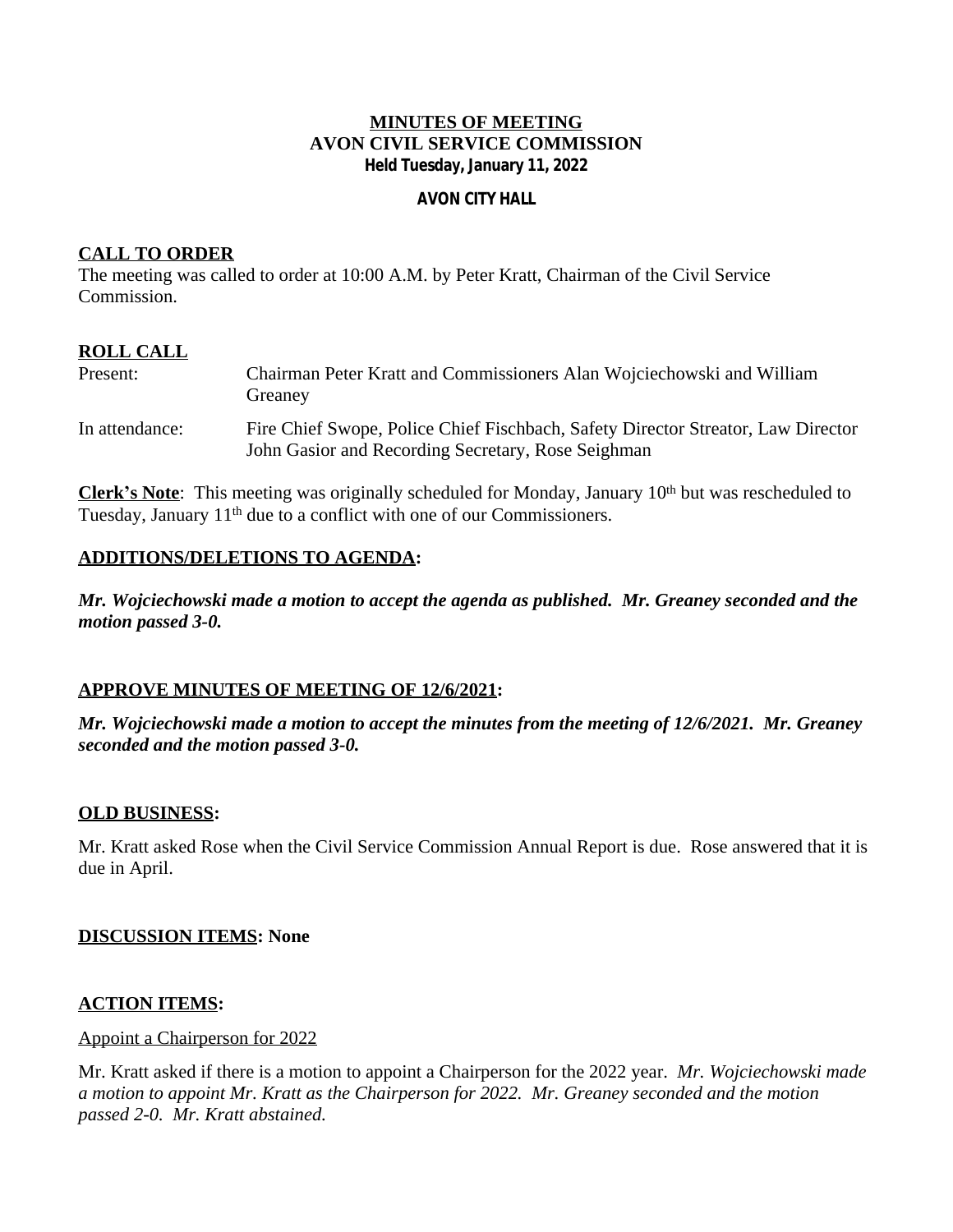#### **MINUTES OF MEETING AVON CIVIL SERVICE COMMISSION Held Tuesday, January 11, 2022**

#### **AVON CITY HALL**

### **CALL TO ORDER**

The meeting was called to order at 10:00 A.M. by Peter Kratt, Chairman of the Civil Service Commission.

# **ROLL CALL**

| Present:       | Chairman Peter Kratt and Commissioners Alan Wojciechowski and William<br>Greaney                                                       |
|----------------|----------------------------------------------------------------------------------------------------------------------------------------|
| In attendance: | Fire Chief Swope, Police Chief Fischbach, Safety Director Streator, Law Director<br>John Gasior and Recording Secretary, Rose Seighman |

**Clerk's Note**: This meeting was originally scheduled for Monday, January 10<sup>th</sup> but was rescheduled to Tuesday, January 11<sup>th</sup> due to a conflict with one of our Commissioners.

### **ADDITIONS/DELETIONS TO AGENDA:**

*Mr. Wojciechowski made a motion to accept the agenda as published. Mr. Greaney seconded and the motion passed 3-0.*

#### **APPROVE MINUTES OF MEETING OF 12/6/2021:**

*Mr. Wojciechowski made a motion to accept the minutes from the meeting of 12/6/2021. Mr. Greaney seconded and the motion passed 3-0.*

#### **OLD BUSINESS:**

Mr. Kratt asked Rose when the Civil Service Commission Annual Report is due. Rose answered that it is due in April.

#### **DISCUSSION ITEMS: None**

#### **ACTION ITEMS:**

#### Appoint a Chairperson for 2022

Mr. Kratt asked if there is a motion to appoint a Chairperson for the 2022 year. *Mr. Wojciechowski made a motion to appoint Mr. Kratt as the Chairperson for 2022. Mr. Greaney seconded and the motion passed 2-0. Mr. Kratt abstained.*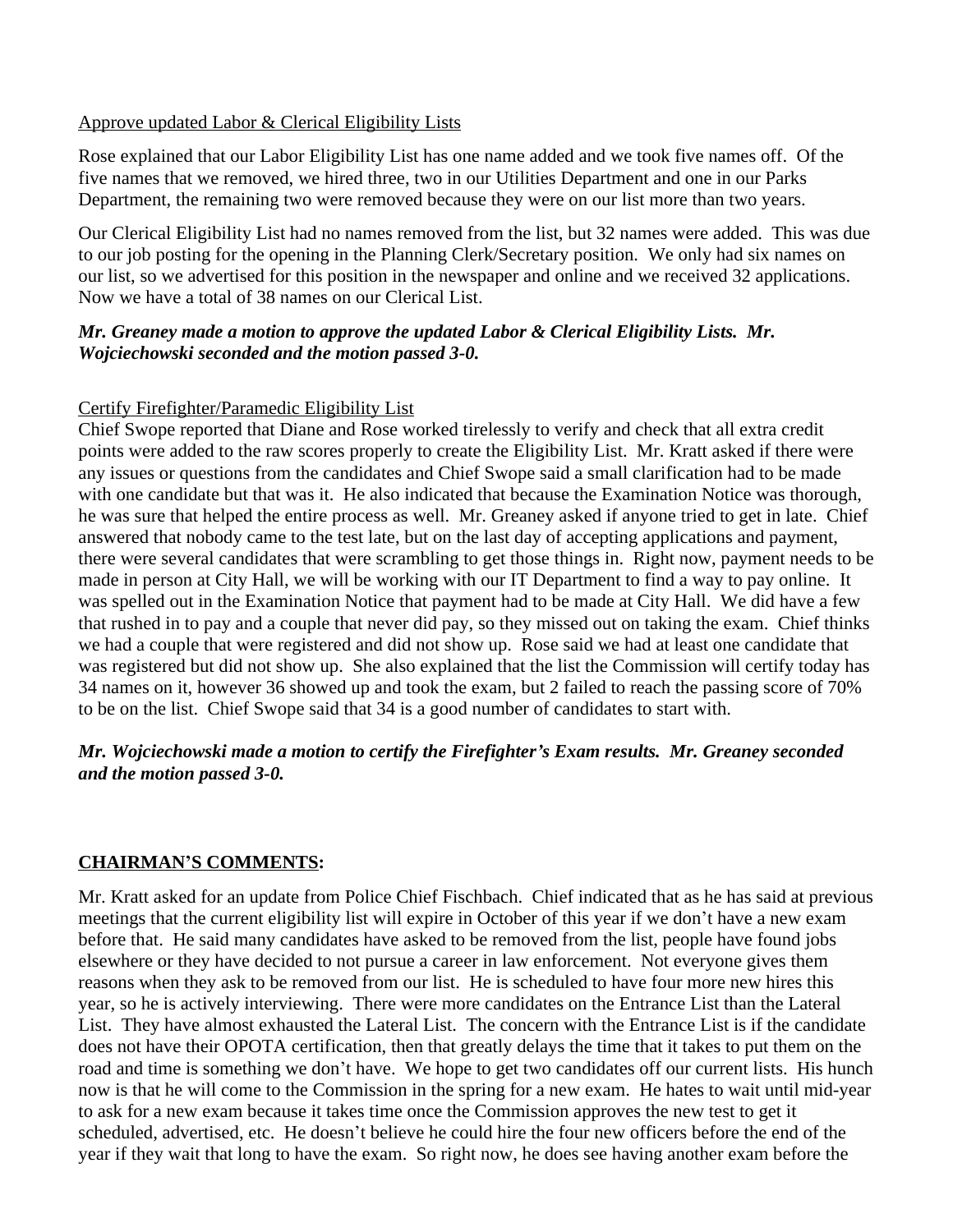### Approve updated Labor & Clerical Eligibility Lists

Rose explained that our Labor Eligibility List has one name added and we took five names off. Of the five names that we removed, we hired three, two in our Utilities Department and one in our Parks Department, the remaining two were removed because they were on our list more than two years.

Our Clerical Eligibility List had no names removed from the list, but 32 names were added. This was due to our job posting for the opening in the Planning Clerk/Secretary position. We only had six names on our list, so we advertised for this position in the newspaper and online and we received 32 applications. Now we have a total of 38 names on our Clerical List.

## *Mr. Greaney made a motion to approve the updated Labor & Clerical Eligibility Lists. Mr. Wojciechowski seconded and the motion passed 3-0.*

## Certify Firefighter/Paramedic Eligibility List

Chief Swope reported that Diane and Rose worked tirelessly to verify and check that all extra credit points were added to the raw scores properly to create the Eligibility List. Mr. Kratt asked if there were any issues or questions from the candidates and Chief Swope said a small clarification had to be made with one candidate but that was it. He also indicated that because the Examination Notice was thorough, he was sure that helped the entire process as well. Mr. Greaney asked if anyone tried to get in late. Chief answered that nobody came to the test late, but on the last day of accepting applications and payment, there were several candidates that were scrambling to get those things in. Right now, payment needs to be made in person at City Hall, we will be working with our IT Department to find a way to pay online. It was spelled out in the Examination Notice that payment had to be made at City Hall. We did have a few that rushed in to pay and a couple that never did pay, so they missed out on taking the exam. Chief thinks we had a couple that were registered and did not show up. Rose said we had at least one candidate that was registered but did not show up. She also explained that the list the Commission will certify today has 34 names on it, however 36 showed up and took the exam, but 2 failed to reach the passing score of 70% to be on the list. Chief Swope said that 34 is a good number of candidates to start with.

# *Mr. Wojciechowski made a motion to certify the Firefighter's Exam results. Mr. Greaney seconded and the motion passed 3-0.*

## **CHAIRMAN'S COMMENTS:**

Mr. Kratt asked for an update from Police Chief Fischbach. Chief indicated that as he has said at previous meetings that the current eligibility list will expire in October of this year if we don't have a new exam before that. He said many candidates have asked to be removed from the list, people have found jobs elsewhere or they have decided to not pursue a career in law enforcement. Not everyone gives them reasons when they ask to be removed from our list. He is scheduled to have four more new hires this year, so he is actively interviewing. There were more candidates on the Entrance List than the Lateral List. They have almost exhausted the Lateral List. The concern with the Entrance List is if the candidate does not have their OPOTA certification, then that greatly delays the time that it takes to put them on the road and time is something we don't have. We hope to get two candidates off our current lists. His hunch now is that he will come to the Commission in the spring for a new exam. He hates to wait until mid-year to ask for a new exam because it takes time once the Commission approves the new test to get it scheduled, advertised, etc. He doesn't believe he could hire the four new officers before the end of the year if they wait that long to have the exam. So right now, he does see having another exam before the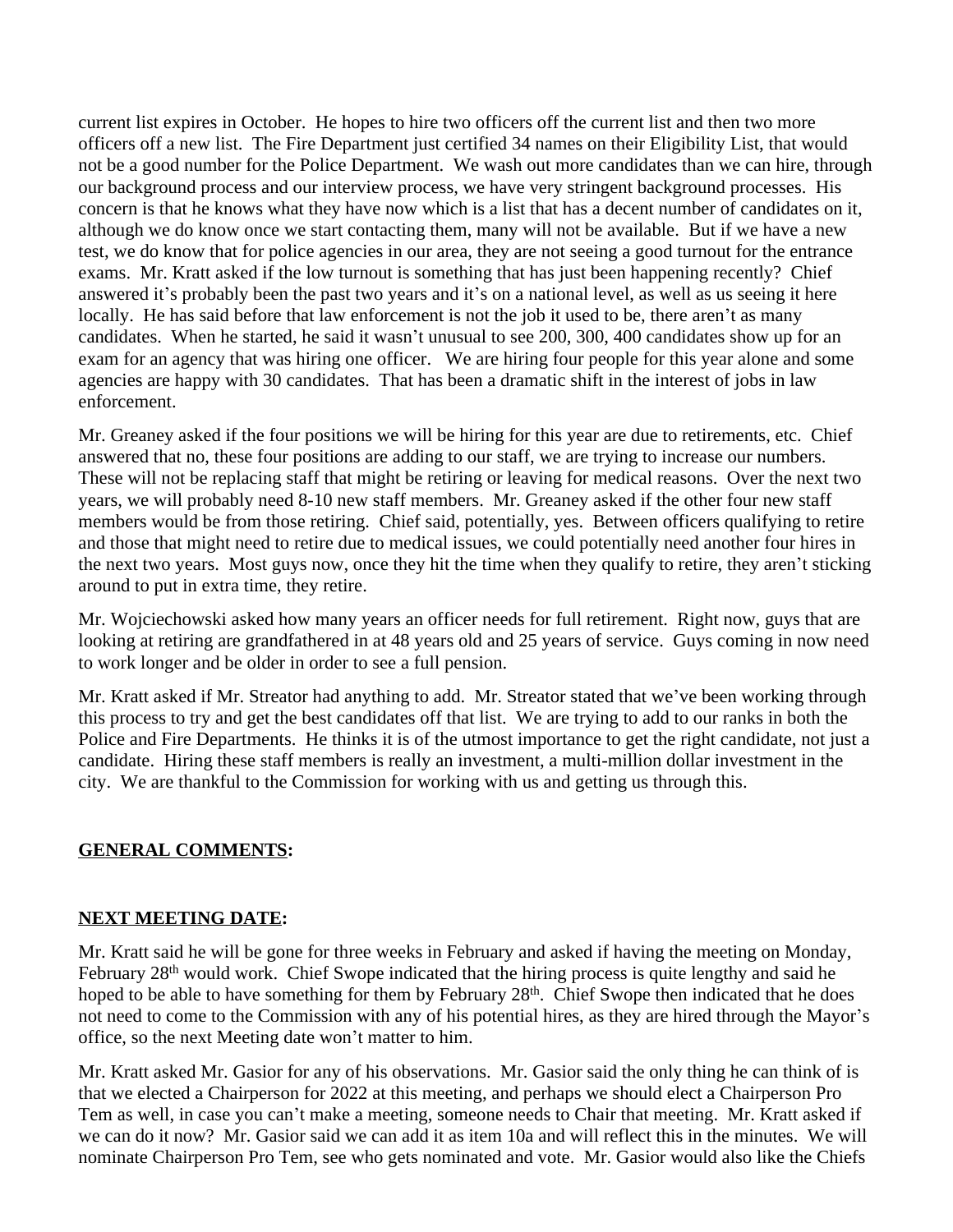current list expires in October. He hopes to hire two officers off the current list and then two more officers off a new list. The Fire Department just certified 34 names on their Eligibility List, that would not be a good number for the Police Department. We wash out more candidates than we can hire, through our background process and our interview process, we have very stringent background processes. His concern is that he knows what they have now which is a list that has a decent number of candidates on it, although we do know once we start contacting them, many will not be available. But if we have a new test, we do know that for police agencies in our area, they are not seeing a good turnout for the entrance exams. Mr. Kratt asked if the low turnout is something that has just been happening recently? Chief answered it's probably been the past two years and it's on a national level, as well as us seeing it here locally. He has said before that law enforcement is not the job it used to be, there aren't as many candidates. When he started, he said it wasn't unusual to see 200, 300, 400 candidates show up for an exam for an agency that was hiring one officer. We are hiring four people for this year alone and some agencies are happy with 30 candidates. That has been a dramatic shift in the interest of jobs in law enforcement.

Mr. Greaney asked if the four positions we will be hiring for this year are due to retirements, etc. Chief answered that no, these four positions are adding to our staff, we are trying to increase our numbers. These will not be replacing staff that might be retiring or leaving for medical reasons. Over the next two years, we will probably need 8-10 new staff members. Mr. Greaney asked if the other four new staff members would be from those retiring. Chief said, potentially, yes. Between officers qualifying to retire and those that might need to retire due to medical issues, we could potentially need another four hires in the next two years. Most guys now, once they hit the time when they qualify to retire, they aren't sticking around to put in extra time, they retire.

Mr. Wojciechowski asked how many years an officer needs for full retirement. Right now, guys that are looking at retiring are grandfathered in at 48 years old and 25 years of service. Guys coming in now need to work longer and be older in order to see a full pension.

Mr. Kratt asked if Mr. Streator had anything to add. Mr. Streator stated that we've been working through this process to try and get the best candidates off that list. We are trying to add to our ranks in both the Police and Fire Departments. He thinks it is of the utmost importance to get the right candidate, not just a candidate. Hiring these staff members is really an investment, a multi-million dollar investment in the city. We are thankful to the Commission for working with us and getting us through this.

## **GENERAL COMMENTS:**

## **NEXT MEETING DATE:**

Mr. Kratt said he will be gone for three weeks in February and asked if having the meeting on Monday, February 28<sup>th</sup> would work. Chief Swope indicated that the hiring process is quite lengthy and said he hoped to be able to have something for them by February 28<sup>th</sup>. Chief Swope then indicated that he does not need to come to the Commission with any of his potential hires, as they are hired through the Mayor's office, so the next Meeting date won't matter to him.

Mr. Kratt asked Mr. Gasior for any of his observations. Mr. Gasior said the only thing he can think of is that we elected a Chairperson for 2022 at this meeting, and perhaps we should elect a Chairperson Pro Tem as well, in case you can't make a meeting, someone needs to Chair that meeting. Mr. Kratt asked if we can do it now? Mr. Gasior said we can add it as item 10a and will reflect this in the minutes. We will nominate Chairperson Pro Tem, see who gets nominated and vote. Mr. Gasior would also like the Chiefs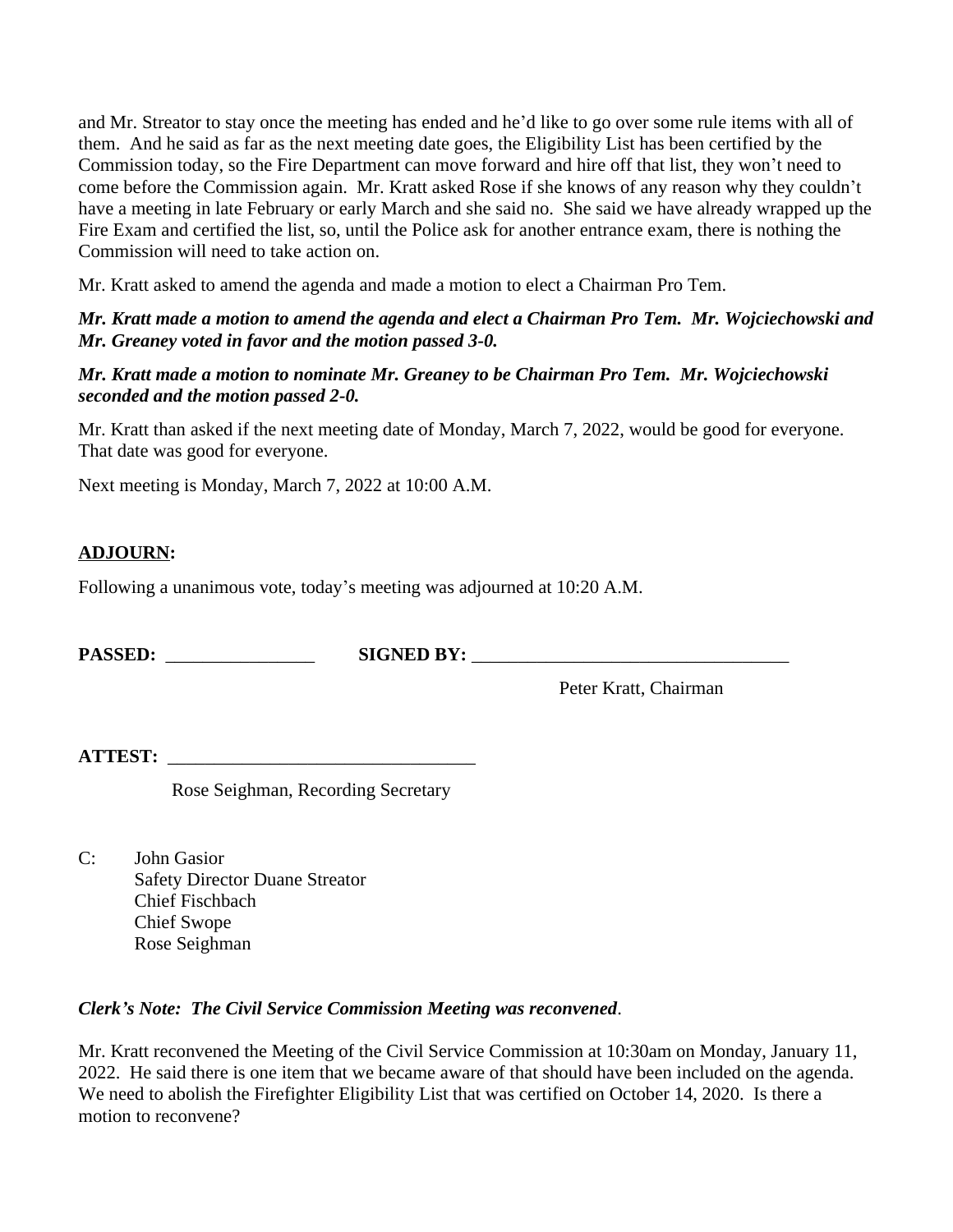and Mr. Streator to stay once the meeting has ended and he'd like to go over some rule items with all of them. And he said as far as the next meeting date goes, the Eligibility List has been certified by the Commission today, so the Fire Department can move forward and hire off that list, they won't need to come before the Commission again. Mr. Kratt asked Rose if she knows of any reason why they couldn't have a meeting in late February or early March and she said no. She said we have already wrapped up the Fire Exam and certified the list, so, until the Police ask for another entrance exam, there is nothing the Commission will need to take action on.

Mr. Kratt asked to amend the agenda and made a motion to elect a Chairman Pro Tem.

## *Mr. Kratt made a motion to amend the agenda and elect a Chairman Pro Tem. Mr. Wojciechowski and Mr. Greaney voted in favor and the motion passed 3-0.*

## *Mr. Kratt made a motion to nominate Mr. Greaney to be Chairman Pro Tem. Mr. Wojciechowski seconded and the motion passed 2-0.*

Mr. Kratt than asked if the next meeting date of Monday, March 7, 2022, would be good for everyone. That date was good for everyone.

Next meeting is Monday, March 7, 2022 at 10:00 A.M.

# **ADJOURN:**

Following a unanimous vote, today's meeting was adjourned at 10:20 A.M.

**PASSED:** \_\_\_\_\_\_\_\_\_\_\_\_\_\_\_\_ **SIGNED BY:** \_\_\_\_\_\_\_\_\_\_\_\_\_\_\_\_\_\_\_\_\_\_\_\_\_\_\_\_\_\_\_\_\_\_

Peter Kratt, Chairman

**ATTEST:** \_\_\_\_\_\_\_\_\_\_\_\_\_\_\_\_\_\_\_\_\_\_\_\_\_\_\_\_\_\_\_\_\_

Rose Seighman, Recording Secretary

C: John Gasior Safety Director Duane Streator Chief Fischbach Chief Swope Rose Seighman

#### *Clerk's Note: The Civil Service Commission Meeting was reconvened*.

Mr. Kratt reconvened the Meeting of the Civil Service Commission at 10:30am on Monday, January 11, 2022. He said there is one item that we became aware of that should have been included on the agenda. We need to abolish the Firefighter Eligibility List that was certified on October 14, 2020. Is there a motion to reconvene?